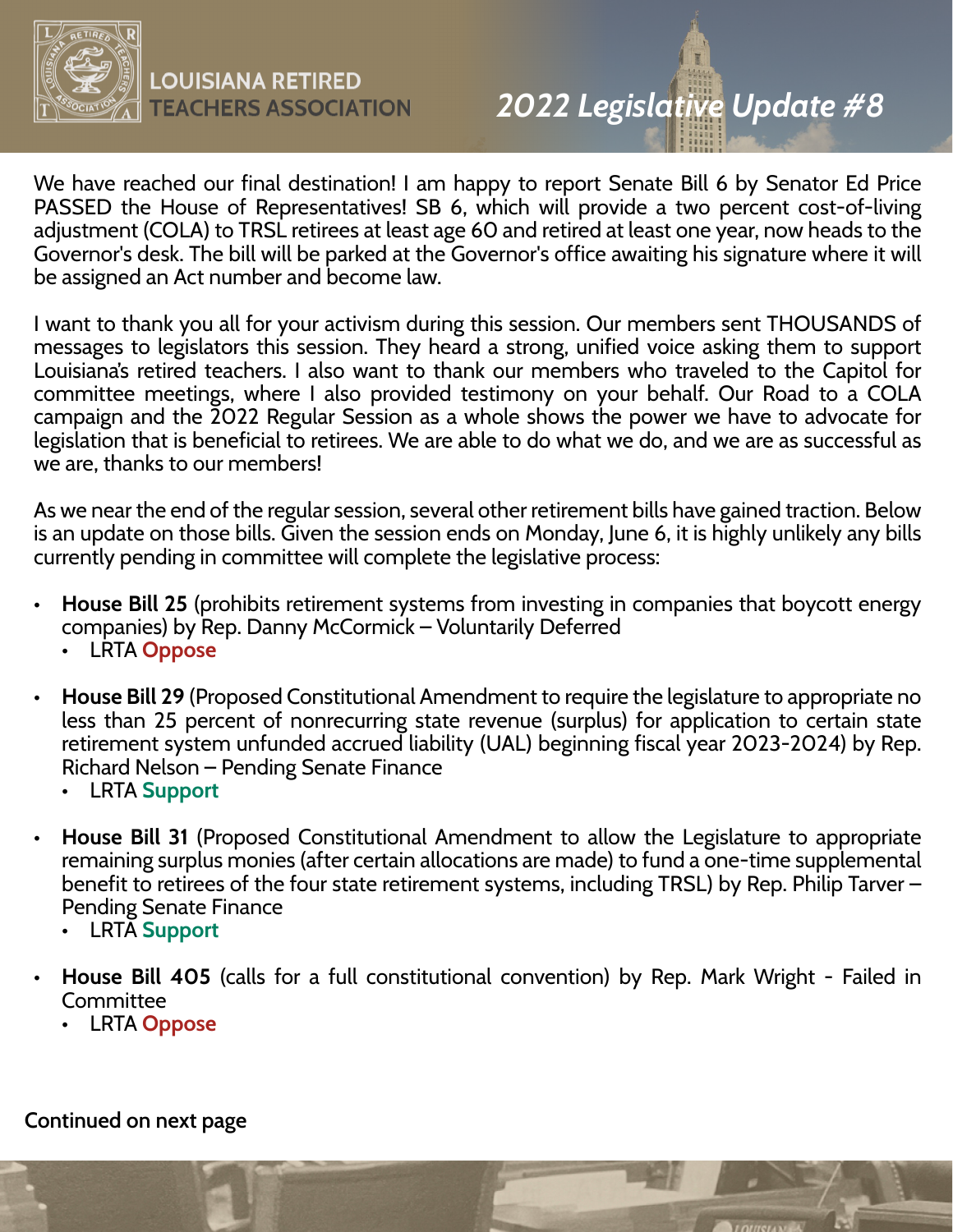

## *2022 Legislative Update #8*

We have reached our final destination! I am happy to report Senate Bill 6 by Senator Ed Price PASSED the House of Representatives! SB 6, which will provide a two percent cost-of-living adjustment (COLA) to TRSL retirees at least age 60 and retired at least one year, now heads to the Governor's desk. The bill will be parked at the Governor's office awaiting his signature where it will be assigned an Act number and become law.

I want to thank you all for your activism during this session. Our members sent THOUSANDS of messages to legislators this session. They heard a strong, unified voice asking them to support Louisiana's retired teachers. I also want to thank our members who traveled to the Capitol for committee meetings, where I also provided testimony on your behalf. Our Road to a COLA campaign and the 2022 Regular Session as a whole shows the power we have to advocate for legislation that is beneficial to retirees. We are able to do what we do, and we are as successful as we are, thanks to our members!

As we near the end of the regular session, several other retirement bills have gained traction. Below is an update on those bills. Given the session ends on Monday, June 6, it is highly unlikely any bills currently pending in committee will complete the legislative process:

- **House Bill 25** (prohibits retirement systems from investing in companies that boycott energy companies) by Rep. Danny McCormick – Voluntarily Deferred
	- LRTA **Oppose**
- **House Bill 29** (Proposed Constitutional Amendment to require the legislature to appropriate no less than 25 percent of nonrecurring state revenue (surplus) for application to certain state retirement system unfunded accrued liability (UAL) beginning fiscal year 2023-2024) by Rep. Richard Nelson – Pending Senate Finance
	- LRTA **Support**
- **House Bill 31** (Proposed Constitutional Amendment to allow the Legislature to appropriate remaining surplus monies (after certain allocations are made) to fund a one-time supplemental benefit to retirees of the four state retirement systems, including TRSL) by Rep. Philip Tarver – Pending Senate Finance
	- LRTA **Support**
- **House Bill 405** (calls for a full constitutional convention) by Rep. Mark Wright Failed in **Committee** 
	- LRTA **Oppose**

**Continued on next page**